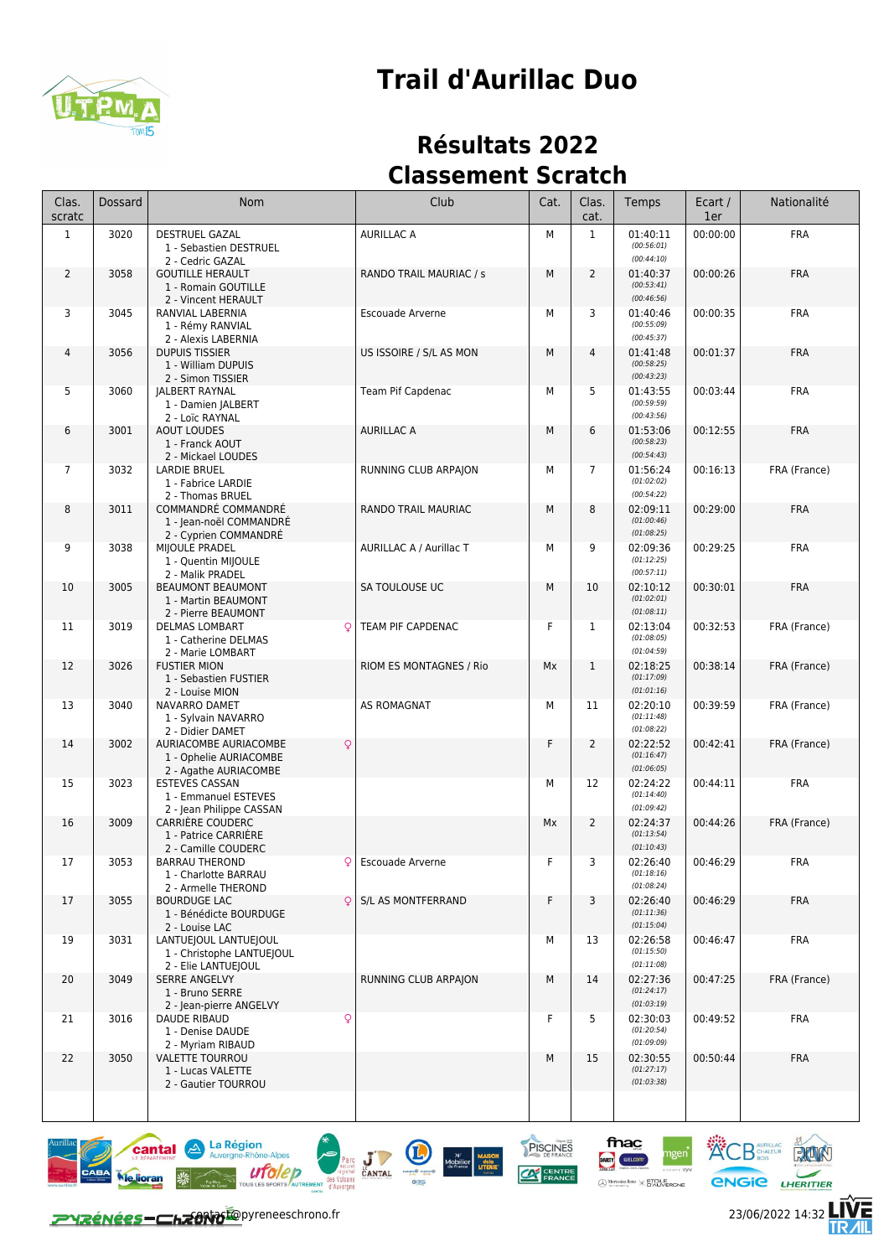

## **Trail d'Aurillac Duo**

## **Résultats 2022 Classement Scratch**

| Clas.<br>scratc | <b>Dossard</b> | <b>Nom</b>                                                                    | Club                    | Cat. | Clas.<br>cat.  | Temps                                | Ecart /<br>1er | Nationalité  |
|-----------------|----------------|-------------------------------------------------------------------------------|-------------------------|------|----------------|--------------------------------------|----------------|--------------|
| $\mathbf{1}$    | 3020           | <b>DESTRUEL GAZAL</b><br>1 - Sebastien DESTRUEL<br>2 - Cedric GAZAL           | <b>AURILLAC A</b>       | M    | $\mathbf{1}$   | 01:40:11<br>(00:56:01)<br>(00:44:10) | 00:00:00       | FRA          |
| $\overline{2}$  | 3058           | <b>GOUTILLE HERAULT</b><br>1 - Romain GOUTILLE<br>2 - Vincent HERAULT         | RANDO TRAIL MAURIAC / s | M    | $\overline{2}$ | 01:40:37<br>(00:53:41)<br>(00:46:56) | 00:00:26       | <b>FRA</b>   |
| 3               | 3045           | RANVIAL LABERNIA<br>1 - Rémy RANVIAL<br>2 - Alexis LABERNIA                   | Escouade Arverne        | М    | 3              | 01:40:46<br>(00:55:09)<br>(00:45:37) | 00:00:35       | <b>FRA</b>   |
| 4               | 3056           | <b>DUPUIS TISSIER</b><br>1 - William DUPUIS<br>2 - Simon TISSIER              | US ISSOIRE / S/L AS MON | М    | $\overline{4}$ | 01:41:48<br>(00:58:25)<br>(00:43:23) | 00:01:37       | <b>FRA</b>   |
| 5               | 3060           | <b>IALBERT RAYNAL</b><br>1 - Damien JALBERT<br>2 - Loïc RAYNAL                | Team Pif Capdenac       | М    | 5              | 01:43:55<br>(00:59:59)<br>(00:43:56) | 00:03:44       | <b>FRA</b>   |
| 6               | 3001           | <b>AOUT LOUDES</b><br>1 - Franck AOUT<br>2 - Mickael LOUDES                   | <b>AURILLAC A</b>       | M    | 6              | 01:53:06<br>(00:58:23)<br>(00:54:43) | 00:12:55       | <b>FRA</b>   |
| $\overline{7}$  | 3032           | LARDIE BRUEL<br>1 - Fabrice LARDIE<br>2 - Thomas BRUEL                        | RUNNING CLUB ARPAJON    | М    | $\overline{7}$ | 01:56:24<br>(01:02:02)<br>(00:54:22) | 00:16:13       | FRA (France) |
| 8               | 3011           | COMMANDRÉ COMMANDRÉ<br>1 - Jean-noël COMMANDRÉ<br>2 - Cyprien COMMANDRE       | RANDO TRAIL MAURIAC     | М    | 8              | 02:09:11<br>(01:00:46)<br>(01:08:25) | 00:29:00       | <b>FRA</b>   |
| 9               | 3038           | MIJOULE PRADEL<br>1 - Quentin MIJOULE<br>2 - Malik PRADEL                     | AURILLAC A / Aurillac T | М    | 9              | 02:09:36<br>(01:12:25)<br>(00:57:11) | 00:29:25       | <b>FRA</b>   |
| 10              | 3005           | <b>BEAUMONT BEAUMONT</b><br>1 - Martin BEAUMONT<br>2 - Pierre BEAUMONT        | SA TOULOUSE UC          | M    | 10             | 02:10:12<br>(01:02:01)<br>(01:08:11) | 00:30:01       | <b>FRA</b>   |
| 11              | 3019           | <b>DELMAS LOMBART</b><br>Q<br>1 - Catherine DELMAS<br>2 - Marie LOMBART       | TEAM PIF CAPDENAC       | F    | $\mathbf{1}$   | 02:13:04<br>(01:08:05)<br>(01:04:59) | 00:32:53       | FRA (France) |
| 12              | 3026           | <b>FUSTIER MION</b><br>1 - Sebastien FUSTIER<br>2 - Louise MION               | RIOM ES MONTAGNES / Rio | Mx   | $\mathbf{1}$   | 02:18:25<br>(01:17:09)<br>(01:01:16) | 00:38:14       | FRA (France) |
| 13              | 3040           | NAVARRO DAMET<br>1 - Sylvain NAVARRO<br>2 - Didier DAMET                      | <b>AS ROMAGNAT</b>      | М    | 11             | 02:20:10<br>(01:11:48)<br>(01:08:22) | 00:39:59       | FRA (France) |
| 14              | 3002           | AURIACOMBE AURIACOMBE<br>Q<br>1 - Ophelie AURIACOMBE<br>2 - Agathe AURIACOMBE |                         | F    | $\overline{2}$ | 02:22:52<br>(01:16:47)<br>(01:06:05) | 00:42:41       | FRA (France) |
| 15              | 3023           | <b>ESTEVES CASSAN</b><br>1 - Emmanuel ESTEVES<br>2 - Jean Philippe CASSAN     |                         | М    | 12             | 02:24:22<br>(01:14:40)<br>(01:09:42) | 00:44:11       | <b>FRA</b>   |
| 16              | 3009           | <b>CARRIÈRE COUDERC</b><br>1 - Patrice CARRIÈRE<br>2 - Camille COUDERC        |                         | Mx   | $\overline{2}$ | 02:24:37<br>(01:13:54)<br>(01:10:43) | 00:44:26       | FRA (France) |
| 17              | 3053           | <b>BARRAU THEROND</b><br>1 - Charlotte BARRAU<br>2 - Armelle THEROND          | Escouade Arverne        |      | 3              | 02:26:40<br>(01:18:16)<br>(01:08:24) | 00:46:29       | <b>FRA</b>   |
| 17              | 3055           | <b>BOURDUGE LAC</b><br>Q.<br>1 - Bénédicte BOURDUGE<br>2 - Louise LAC         | S/L AS MONTFERRAND      | F    | 3              | 02:26:40<br>(01:11:36)<br>(01:15:04) | 00:46:29       | <b>FRA</b>   |
| 19              | 3031           | LANTUE OUL LANTUE OUL<br>1 - Christophe LANTUEJOUL<br>2 - Elie LANTUEJOUL     |                         | М    | 13             | 02:26:58<br>(01:15:50)<br>(01:11:08) | 00:46:47       | <b>FRA</b>   |
| 20              | 3049           | SERRE ANGELVY<br>1 - Bruno SERRE<br>2 - Jean-pierre ANGELVY                   | RUNNING CLUB ARPAION    | М    | 14             | 02:27:36<br>(01:24:17)<br>(01:03:19) | 00:47:25       | FRA (France) |
| 21              | 3016           | <b>DAUDE RIBAUD</b><br>Q<br>1 - Denise DAUDE<br>2 - Myriam RIBAUD             |                         | F    | 5              | 02:30:03<br>(01:20:54)<br>(01:09:09) | 00:49:52       | <b>FRA</b>   |
| 22              | 3050           | VALETTE TOURROU<br>1 - Lucas VALETTE<br>2 - Gautier TOURROU                   |                         | M    | 15             | 02:30:55<br>(01:27:17)<br>(01:03:38) | 00:50:44       | <b>FRA</b>   |
|                 |                |                                                                               |                         |      |                |                                      |                |              |

C

N'<br>Mobilier dela<br>de France LITERIE



PISCINES fnac DARTY WELCOM **CAT CENTR** 







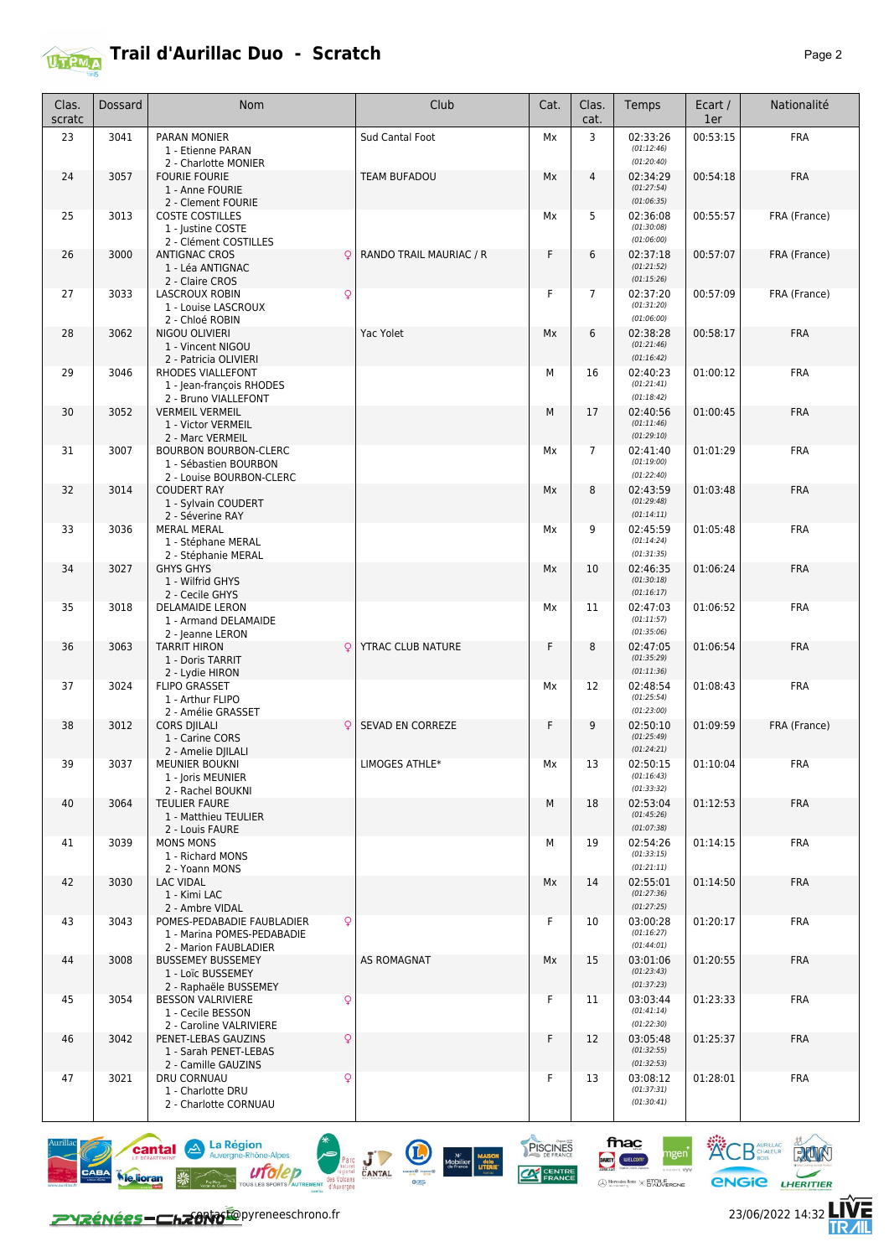

## **Trail d'Aurillac Duo - Scratch** *Page 2*

| Clas.<br>scratc | Dossard | <b>Nom</b>                                                                             | Club                     | Cat. | Clas.<br>cat.  | Temps                                | Ecart /<br>1er | Nationalité  |
|-----------------|---------|----------------------------------------------------------------------------------------|--------------------------|------|----------------|--------------------------------------|----------------|--------------|
| 23              | 3041    | <b>PARAN MONIER</b><br>1 - Etienne PARAN<br>2 - Charlotte MONIER                       | <b>Sud Cantal Foot</b>   | Mx   | 3              | 02:33:26<br>(01:12:46)<br>(01:20:40) | 00:53:15       | <b>FRA</b>   |
| 24              | 3057    | <b>FOURIE FOURIE</b><br>1 - Anne FOURIE<br>2 - Clement FOURIE                          | <b>TEAM BUFADOU</b>      | Mx   | $\overline{4}$ | 02:34:29<br>(01:27:54)<br>(01:06:35) | 00:54:18       | <b>FRA</b>   |
| 25              | 3013    | <b>COSTE COSTILLES</b><br>1 - Justine COSTE<br>2 - Clément COSTILLES                   |                          | Мx   | 5              | 02:36:08<br>(01:30:08)<br>(01:06:00) | 00:55:57       | FRA (France) |
| 26              | 3000    | <b>ANTIGNAC CROS</b><br>Q<br>1 - Léa ANTIGNAC<br>2 - Claire CROS                       | RANDO TRAIL MAURIAC / R  | F    | 6              | 02:37:18<br>(01:21:52)<br>(01:15:26) | 00:57:07       | FRA (France) |
| 27              | 3033    | Q<br>LASCROUX ROBIN<br>1 - Louise LASCROUX<br>2 - Chloé ROBIN                          |                          | F    | $\overline{7}$ | 02:37:20<br>(01:31:20)<br>(01:06:00) | 00:57:09       | FRA (France) |
| 28              | 3062    | NIGOU OLIVIERI<br>1 - Vincent NIGOU<br>2 - Patricia OLIVIERI                           | Yac Yolet                | Mx   | 6              | 02:38:28<br>(01:21:46)<br>(01:16:42) | 00:58:17       | <b>FRA</b>   |
| 29              | 3046    | RHODES VIALLEFONT<br>1 - Jean-françois RHODES<br>2 - Bruno VIALLEFONT                  |                          | М    | 16             | 02:40:23<br>(01:21:41)<br>(01:18:42) | 01:00:12       | FRA          |
| 30              | 3052    | <b>VERMEIL VERMEIL</b><br>1 - Victor VERMEIL<br>2 - Marc VERMEIL                       |                          | М    | 17             | 02:40:56<br>(01:11:46)<br>(01:29:10) | 01:00:45       | <b>FRA</b>   |
| 31              | 3007    | <b>BOURBON BOURBON-CLERC</b><br>1 - Sébastien BOURBON<br>2 - Louise BOURBON-CLERC      |                          | Мx   | 7              | 02:41:40<br>(01:19:00)<br>(01:22:40) | 01:01:29       | FRA          |
| 32              | 3014    | <b>COUDERT RAY</b><br>1 - Sylvain COUDERT<br>2 - Séverine RAY                          |                          | Mx   | 8              | 02:43:59<br>(01:29:48)<br>(01:14:11) | 01:03:48       | <b>FRA</b>   |
| 33              | 3036    | <b>MERAL MERAL</b><br>1 - Stéphane MERAL<br>2 - Stéphanie MERAL                        |                          | Mx   | 9              | 02:45:59<br>(01:14:24)<br>(01:31:35) | 01:05:48       | <b>FRA</b>   |
| 34              | 3027    | <b>GHYS GHYS</b><br>1 - Wilfrid GHYS<br>2 - Cecile GHYS                                |                          | Mx   | 10             | 02:46:35<br>(01:30:18)<br>(01:16:17) | 01:06:24       | <b>FRA</b>   |
| 35              | 3018    | <b>DELAMAIDE LERON</b><br>1 - Armand DELAMAIDE<br>2 - Jeanne LERON                     |                          | Mx   | 11             | 02:47:03<br>(01:11:57)<br>(01:35:06) | 01:06:52       | <b>FRA</b>   |
| 36              | 3063    | <b>TARRIT HIRON</b><br>$\circ$<br>1 - Doris TARRIT<br>2 - Lydie HIRON                  | <b>YTRAC CLUB NATURE</b> | F.   | 8              | 02:47:05<br>(01:35:29)<br>(01:11:36) | 01:06:54       | <b>FRA</b>   |
| 37              | 3024    | <b>FLIPO GRASSET</b><br>1 - Arthur FLIPO<br>2 - Amélie GRASSET                         |                          | Мx   | 12             | 02:48:54<br>(01:25:54)<br>(01:23:00) | 01:08:43       | FRA          |
| 38              | 3012    | <b>CORS DJILALI</b><br>$\circ$<br>1 - Carine CORS<br>2 - Amelie DJILALI                | SEVAD EN CORREZE         | F.   | 9              | 02:50:10<br>(01:25:49)<br>(01:24:21) | 01:09:59       | FRA (France) |
| 39              | 3037    | MEUNIER BOUKNI<br>1 - Joris MEUNIER<br>2 - Rachel BOUKNI                               | LIMOGES ATHLE*           | Мx   | 13             | 02:50:15<br>(01:16:43)<br>(01:33:32) | 01:10:04       | FRA          |
| 40              | 3064    | <b>TEULIER FAURE</b><br>1 - Matthieu TEULIER<br>2 - Louis FAURE                        |                          | М    | 18             | 02:53:04<br>(01:45:26)<br>(01:07:38) | 01:12:53       | <b>FRA</b>   |
| 41              | 3039    | MONS MONS<br>1 - Richard MONS<br>2 - Yoann MONS                                        |                          | М    | 19             | 02:54:26<br>(01:33:15)<br>(01:21:11) | 01:14:15       | <b>FRA</b>   |
| 42              | 3030    | <b>LAC VIDAL</b><br>1 - Kimi LAC<br>2 - Ambre VIDAL                                    |                          | Mx   | 14             | 02:55:01<br>(01:27:36)<br>(01:27:25) | 01:14:50       | <b>FRA</b>   |
| 43              | 3043    | Q<br>POMES-PEDABADIE FAUBLADIER<br>1 - Marina POMES-PEDABADIE<br>2 - Marion FAUBLADIER |                          | F    | 10             | 03:00:28<br>(01:16:27)<br>(01:44:01) | 01:20:17       | <b>FRA</b>   |
| 44              | 3008    | <b>BUSSEMEY BUSSEMEY</b><br>1 - Loïc BUSSEMEY<br>2 - Raphaële BUSSEMEY                 | <b>AS ROMAGNAT</b>       | Mx   | 15             | 03:01:06<br>(01:23:43)<br>(01:37:23) | 01:20:55       | <b>FRA</b>   |
| 45              | 3054    | Q<br><b>BESSON VALRIVIERE</b><br>1 - Cecile BESSON<br>2 - Caroline VALRIVIERE          |                          | F    | 11             | 03:03:44<br>(01:41:14)<br>(01:22:30) | 01:23:33       | <b>FRA</b>   |
| 46              | 3042    | Q<br>PENET-LEBAS GAUZINS<br>1 - Sarah PENET-LEBAS<br>2 - Camille GAUZINS               |                          | F.   | 12             | 03:05:48<br>(01:32:55)<br>(01:32:53) | 01:25:37       | <b>FRA</b>   |
| 47              | 3021    | DRU CORNUAU<br>Q<br>1 - Charlotte DRU<br>2 - Charlotte CORNUAU                         |                          | F.   | 13             | 03:08:12<br>(01:37:31)<br>(01:30:41) | 01:28:01       | FRA          |



PISCINES DARTY WELCOM **CAN CENTRE**  $\bigoplus \underset{w \text{ vertices } \mathcal{C}}{\text{Merccedes } \text{Renz}} \times \underset{w}{\text{ETCILE}}$ 

fnac